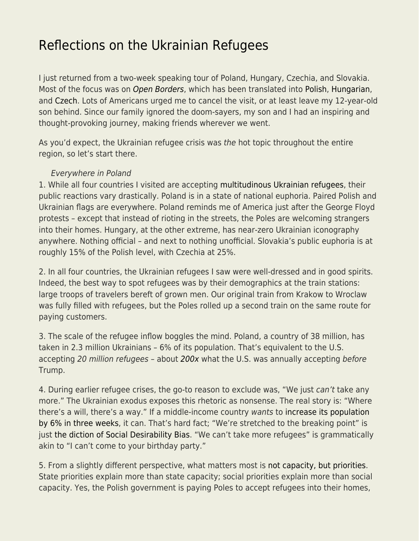## [Reflections on the Ukrainian Refugees](https://everything-voluntary.com/reflections-on-the-ukrainian-refugees)

I just returned from a two-week speaking tour of Poland, Hungary, Czechia, and Slovakia. Most of the focus was on [Open Borders](http://smbc-comics.com/openborders/), which has been translated into [Polish,](https://www.mises.sklep.pl/ksiazki/107-otwarte-granice.html) [Hungarian,](https://www.libri.hu/konyv/bryan_caplan.szabad-a-palya--1.html) and [Czech](https://www.kosmas.cz/knihy/294628/otevrene-hranice/). Lots of Americans urged me to cancel the visit, or at least leave my 12-year-old son behind. Since our family ignored the doom-sayers, my son and I had an inspiring and thought-provoking journey, making friends wherever we went.

As you'd expect, the Ukrainian refugee crisis was the hot topic throughout the entire region, so let's start there.

## Everywhere in Poland

1. While all four countries I visited are accepting [multitudinous Ukrainian refugees](https://data2.unhcr.org/en/situations/ukraine/location?secret=unhcrrestricted), their public reactions vary drastically. Poland is in a state of national euphoria. Paired Polish and Ukrainian flags are everywhere. Poland reminds me of America just after the George Floyd protests – except that instead of rioting in the streets, the Poles are welcoming strangers into their homes. Hungary, at the other extreme, has near-zero Ukrainian iconography anywhere. Nothing official – and next to nothing unofficial. Slovakia's public euphoria is at roughly 15% of the Polish level, with Czechia at 25%.

2. In all four countries, the Ukrainian refugees I saw were well-dressed and in good spirits. Indeed, the best way to spot refugees was by their demographics at the train stations: large troops of travelers bereft of grown men. Our original train from Krakow to Wroclaw was fully filled with refugees, but the Poles rolled up a second train on the same route for paying customers.

3. The scale of the refugee inflow boggles the mind. Poland, a country of 38 million, has taken in 2.3 million Ukrainians – 6% of its population. That's equivalent to the U.S. accepting 20 million refugees – about [200x](https://www.migrationpolicy.org/article/refugees-and-asylees-united-states-2021) what the U.S. was annually accepting before Trump.

4. During earlier refugee crises, the go-to reason to exclude was, "We just can't take any more." The Ukrainian exodus exposes this rhetoric as nonsense. The real story is: "Where there's a will, there's a way." If a middle-income country wants to [increase its population](https://www.pbs.org/newshour/world/as-number-of-ukrainians-fleeing-war-hits-4-million-some-signs-of-a-slowdown) [by 6% in three weeks](https://www.pbs.org/newshour/world/as-number-of-ukrainians-fleeing-war-hits-4-million-some-signs-of-a-slowdown), it can. That's hard fact; "We're stretched to the breaking point" is just [the diction of Social Desirability Bias](https://www.econlib.org/archives/2016/04/the_diction_of.html). "We can't take more refugees" is grammatically akin to "I can't come to your birthday party."

5. From a slightly different perspective, what matters most is [not capacity, but priorities.](https://www.econlib.org/state-priorities-not-state-capacity/) State priorities explain more than state capacity; social priorities explain more than social capacity. Yes, the Polish government is paying Poles to accept refugees into their homes,